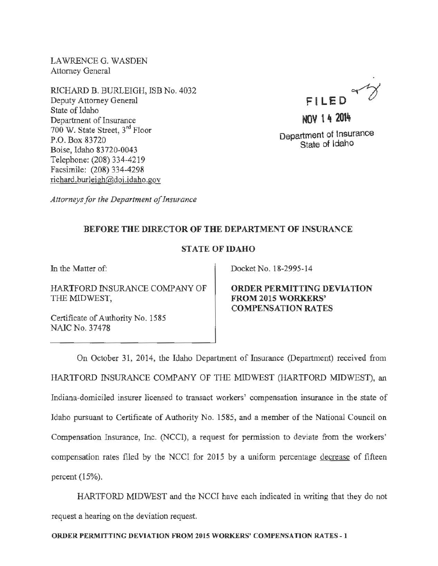LAWRENCE G. WASDEN Attorney General

RICHARD B. BURLEIGH, ISB No. 4032 Deputy Attorney General State of Idaho Department of Insurance 700 W. State Street, 3rd Floor P.O. Box 83720 Boise, Idaho 83 720-0043 Telephone: (208) 334-4219 Facsimile: (208) 334-4298 richard.burleigh@doi.idaho.gov



Department of lnsurance State of Idaho

*Attorneys for the Department of Insurance* 

## BEFORE THE DIRECTOR OF THE DEPARTMENT OF INSURANCE

## STATE OF IDAHO

In the Matter of:

HARTFORD INSURANCE COMPANY OF THE MIDWEST,

Certificate of Authority No. 1585 NAIC No. 37478

Docket No. 18-2995-14

ORDER PERMITTING DEVIATION FROM 2015 WORKERS' COMPENSATION RATES

On October 31, 2014, the Idaho Department of Insurance (Department) received from HAR1FORD INSURANCE COMPANY OF THE MIDWEST (HARTFORD MIDWEST), an Indiana-domiciled insurer licensed to transact workers' compensation insurance in the state of Idaho pursuant to Certificate of Authority No. 1585, and a member of the National Council on Compensation Insurance, Inc. (NCCI), a request for permission to deviate from the workers' compensation rates filed by the NCCI for 2015 by a uniform percentage decrease of fifteen percent  $(15%)$ .

HAR1FORD MIDWEST and the NCCI have each indicated in writing that they do not request a hearing on the deviation request.

ORDER PERMITTING DEVIATION FROM 2015 WORKERS' COMPENSATION RATES- 1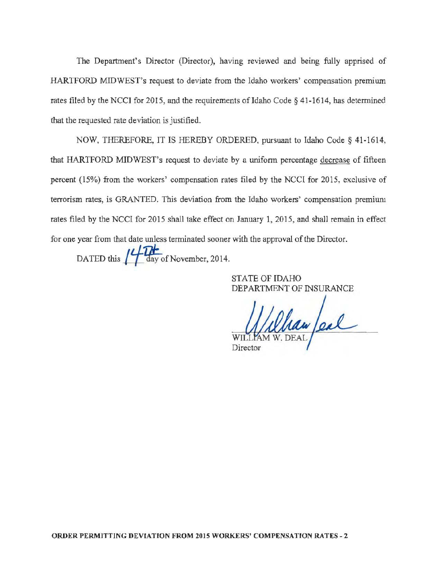The Department's Director (Director), having reviewed and being fully apprised of HARTFORD MIDWEST's request to deviate from the Idaho workers' compensation premium rates filed by the NCCI for 2015, and the requirements of Idaho Code  $\S$  41-1614, has determined that the requested rate deviation is justified.

NOW, THEREFORE, IT IS HEREBY ORDERED, pursuant to Idaho Code§ 41-1614, that HARTFORD MIDWEST's request to deviate by a uniform percentage decrease of fifteen percent (15%) from the workers' compensation rates filed by the NCCI for 2015, exclusive of terrorism rates, is GRANTED. This deviation from the Idaho workers' compensation premium rates filed by the NCCI for 2015 shall take effect on January 1, 2015, and shall remain in effect for one year from that date unless terminated sooner with the approval of the Director. DATED this  $\mu$   $\frac{1}{\sqrt{2}}$  day of November, 2014.

STATE OF IDAHO DEPARTMENT OF INSURANCE

Whan Jeal

Director